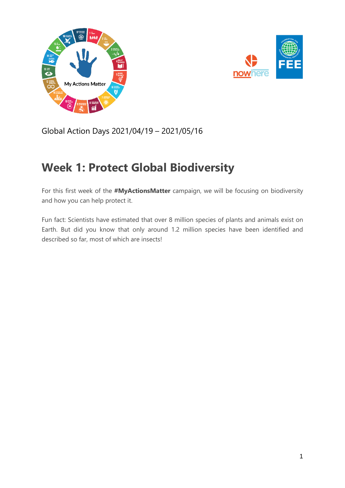



Global Action Days 2021/04/19 – 2021/05/16

## **Week 1: Protect Global Biodiversity**

For this first week of the **#MyActionsMatter** campaign, we will be focusing on biodiversity and how you can help protect it.

Fun fact: Scientists have estimated that over 8 million species of plants and animals exist on Earth. But did you know that only around 1.2 million species have been identified and described so far, most of which are insects!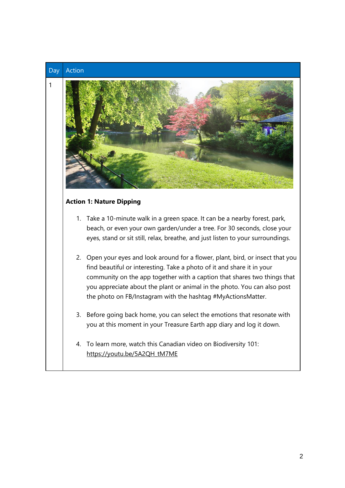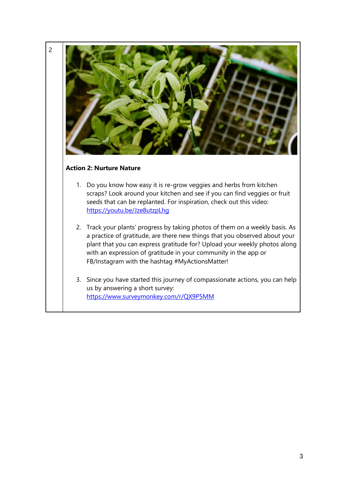

<https://www.surveymonkey.com/r/QX9P5MM>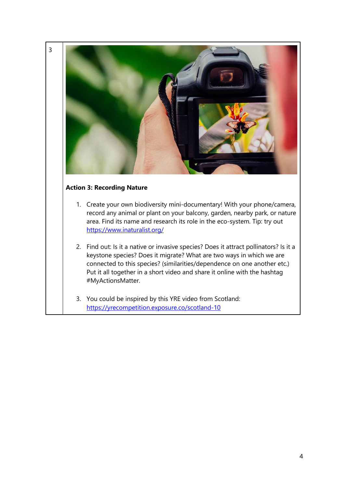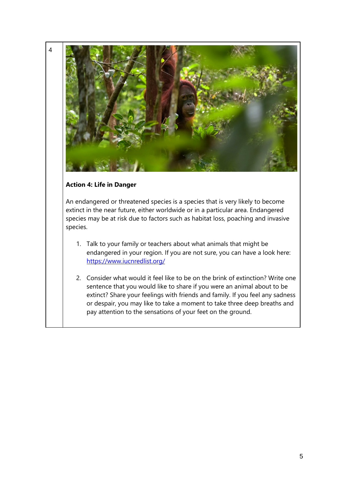

An endangered or threatened species is a species that is very likely to become extinct in the near future, either worldwide or in a particular area. Endangered species may be at risk due to factors such as habitat loss, poaching and invasive species.

- 1. Talk to your family or teachers about what animals that might be endangered in your region. If you are not sure, you can have a look here: <https://www.iucnredlist.org/>
- 2. Consider what would it feel like to be on the brink of extinction? Write one sentence that you would like to share if you were an animal about to be extinct? Share your feelings with friends and family. If you feel any sadness or despair, you may like to take a moment to take three deep breaths and pay attention to the sensations of your feet on the ground.

4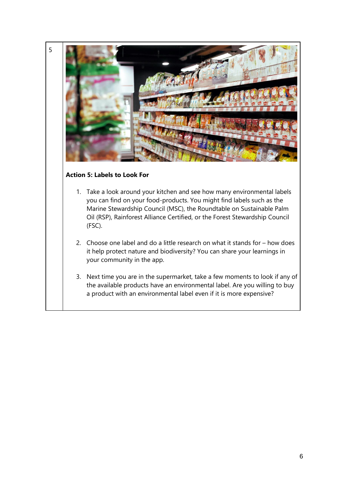

5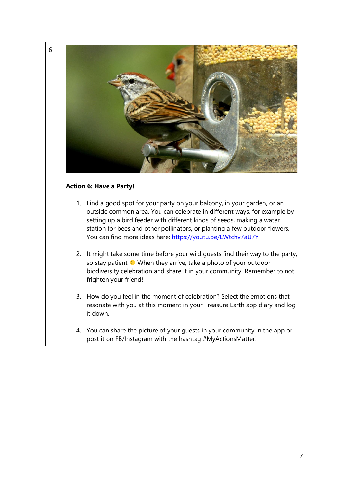